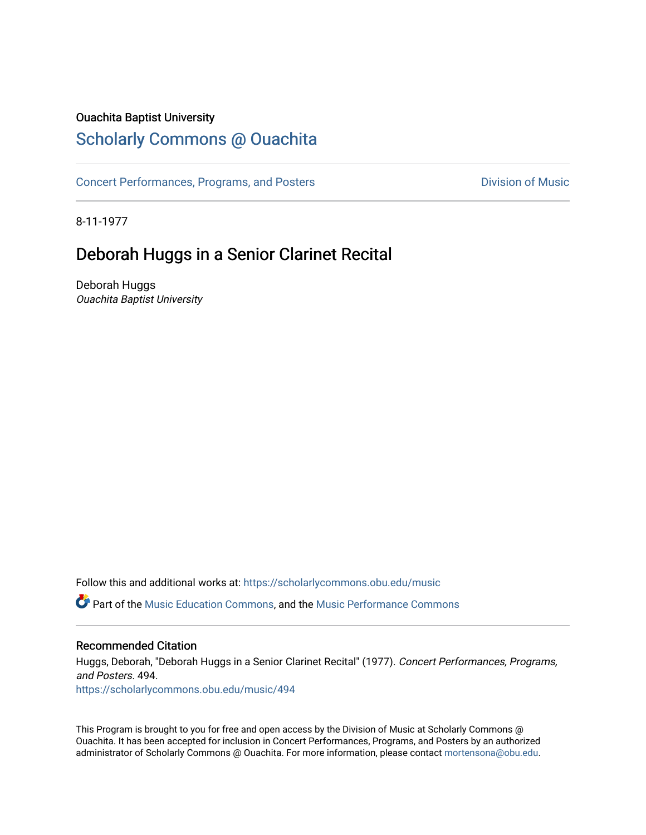## Ouachita Baptist University

# [Scholarly Commons @ Ouachita](https://scholarlycommons.obu.edu/)

[Concert Performances, Programs, and Posters](https://scholarlycommons.obu.edu/music) **Division of Music** Division of Music

8-11-1977

# Deborah Huggs in a Senior Clarinet Recital

Deborah Huggs Ouachita Baptist University

Follow this and additional works at: [https://scholarlycommons.obu.edu/music](https://scholarlycommons.obu.edu/music?utm_source=scholarlycommons.obu.edu%2Fmusic%2F494&utm_medium=PDF&utm_campaign=PDFCoverPages) 

Part of the [Music Education Commons,](http://network.bepress.com/hgg/discipline/1246?utm_source=scholarlycommons.obu.edu%2Fmusic%2F494&utm_medium=PDF&utm_campaign=PDFCoverPages) and the [Music Performance Commons](http://network.bepress.com/hgg/discipline/1128?utm_source=scholarlycommons.obu.edu%2Fmusic%2F494&utm_medium=PDF&utm_campaign=PDFCoverPages) 

## Recommended Citation

Huggs, Deborah, "Deborah Huggs in a Senior Clarinet Recital" (1977). Concert Performances, Programs, and Posters. 494. [https://scholarlycommons.obu.edu/music/494](https://scholarlycommons.obu.edu/music/494?utm_source=scholarlycommons.obu.edu%2Fmusic%2F494&utm_medium=PDF&utm_campaign=PDFCoverPages) 

This Program is brought to you for free and open access by the Division of Music at Scholarly Commons @ Ouachita. It has been accepted for inclusion in Concert Performances, Programs, and Posters by an authorized administrator of Scholarly Commons @ Ouachita. For more information, please contact [mortensona@obu.edu](mailto:mortensona@obu.edu).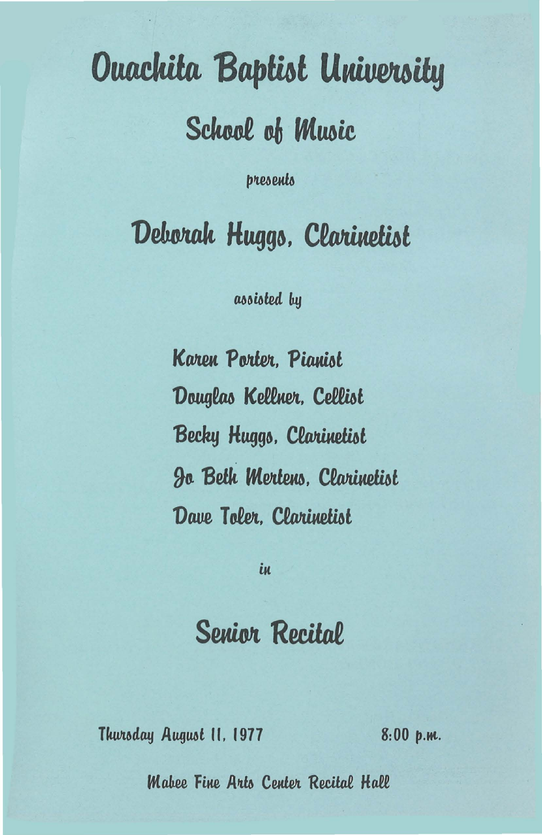# **Ouachita Baptist University**

School of Music

presents

Deborak Huggs, Clarinetist

assisted by

**Karen Porter, Pianist** Douglas Kellner, Cellist Becky Huggs, Clarinetist **Jo Beth Mertens, Clarinetist** Dave Toler. Clarinetist

iи

# **Senior Recital**

Thursday August II, 1977

 $8:00~p.m.$ 

**Mabee Fine Arts Center Recital Hall**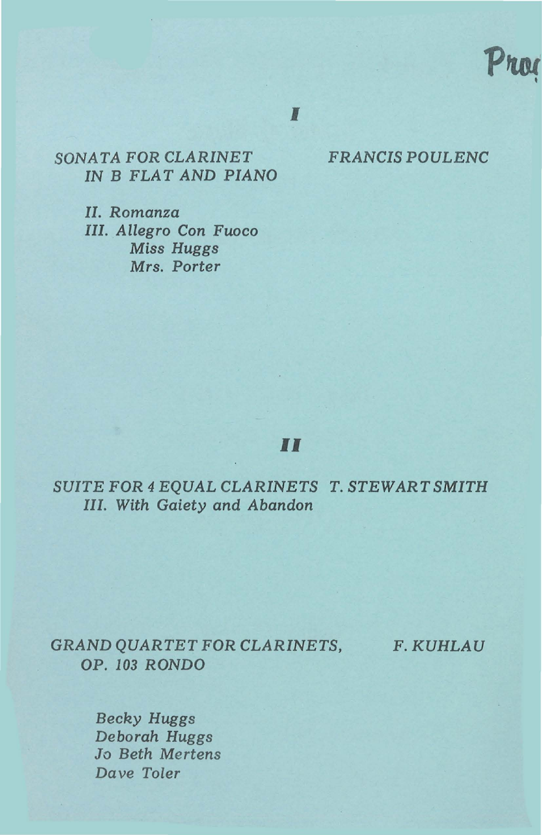

I

*SONATA* FOR *CLARINET FRANCIS POULENC IN* B *FLAT AND PIANO* 

II. Romanza III. Allegro Con Fuoco Miss Huggs Mrs. Porter

## II

*SUITE* FOR *4 EQUAL CLARINETS T. STEWART SMITH*  III. With Gaiety and Abandon

*GRAND QUARTET* FOR *CLARINETS, F.KUHLAU*  OP. 103 RONDO

Becky Huggs Deborah Huggs Jo Beth Mertens Dave Toler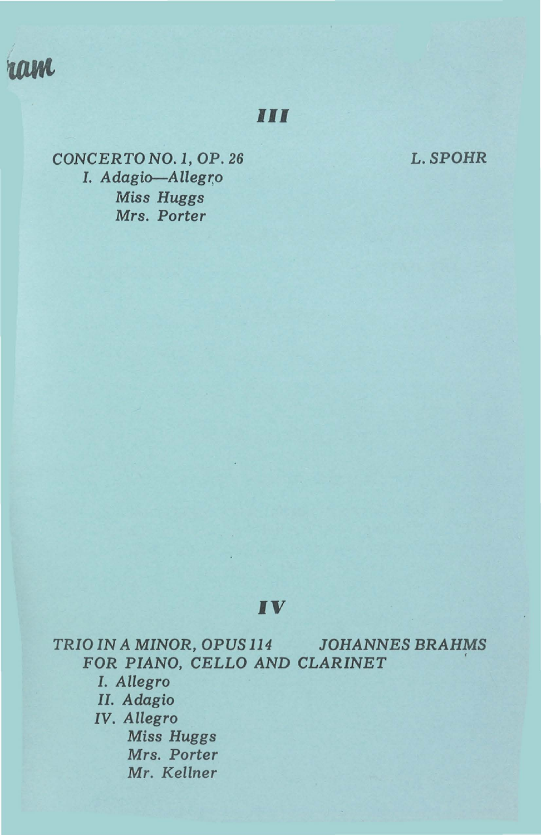

**Ill** 

L.SPOHR

*CONCERTO N0.1,* OP. *26 I. Adagio-Allegr;o Miss Huggs Mrs. Porter* 

## IV

*TRIO IN A* MINOR, *OPUS 114 JOHANNES BRAHMS*  FOR *PIANO,* CELLO *AND CLARINET* ' *I. Allegro II. Adagio IV. Allegro Miss Huggs Mrs. Porter Mr. Kellner*